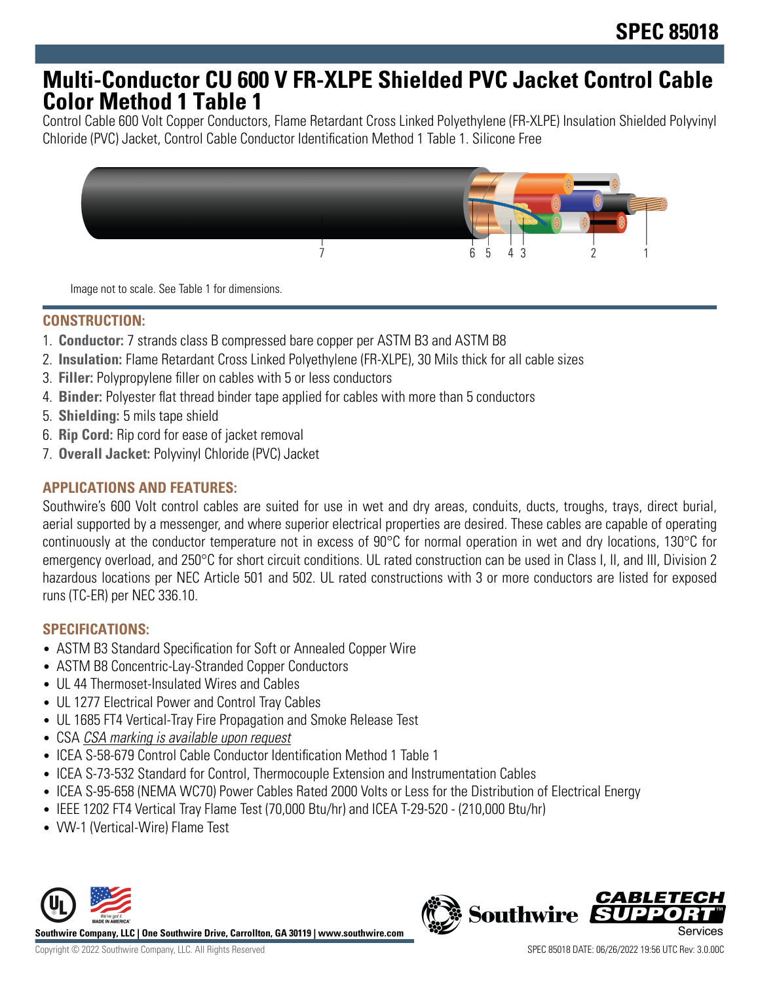## **Multi-Conductor CU 600 V FR-XLPE Shielded PVC Jacket Control Cable Color Method 1 Table 1**

Control Cable 600 Volt Copper Conductors, Flame Retardant Cross Linked Polyethylene (FR-XLPE) Insulation Shielded Polyvinyl Chloride (PVC) Jacket, Control Cable Conductor Identification Method 1 Table 1. Silicone Free



Image not to scale. See Table 1 for dimensions.

## **CONSTRUCTION:**

- 1. **Conductor:** 7 strands class B compressed bare copper per ASTM B3 and ASTM B8
- 2. **Insulation:** Flame Retardant Cross Linked Polyethylene (FR-XLPE), 30 Mils thick for all cable sizes
- 3. **Filler:** Polypropylene filler on cables with 5 or less conductors
- 4. **Binder:** Polyester flat thread binder tape applied for cables with more than 5 conductors
- 5. **Shielding:** 5 mils tape shield
- 6. **Rip Cord:** Rip cord for ease of jacket removal
- 7. **Overall Jacket:** Polyvinyl Chloride (PVC) Jacket

### **APPLICATIONS AND FEATURES:**

Southwire's 600 Volt control cables are suited for use in wet and dry areas, conduits, ducts, troughs, trays, direct burial, aerial supported by a messenger, and where superior electrical properties are desired. These cables are capable of operating continuously at the conductor temperature not in excess of 90°C for normal operation in wet and dry locations, 130°C for emergency overload, and 250°C for short circuit conditions. UL rated construction can be used in Class I, II, and III, Division 2 hazardous locations per NEC Article 501 and 502. UL rated constructions with 3 or more conductors are listed for exposed runs (TC-ER) per NEC 336.10.

## **SPECIFICATIONS:**

- ASTM B3 Standard Specification for Soft or Annealed Copper Wire
- ASTM B8 Concentric-Lay-Stranded Copper Conductors
- UL 44 Thermoset-Insulated Wires and Cables
- UL 1277 Electrical Power and Control Tray Cables
- UL 1685 FT4 Vertical-Tray Fire Propagation and Smoke Release Test
- CSA CSA marking is available upon request
- ICEA S-58-679 Control Cable Conductor Identification Method 1 Table 1
- ICEA S-73-532 Standard for Control, Thermocouple Extension and Instrumentation Cables
- ICEA S-95-658 (NEMA WC70) Power Cables Rated 2000 Volts or Less for the Distribution of Electrical Energy
- IEEE 1202 FT4 Vertical Tray Flame Test (70,000 Btu/hr) and ICEA T-29-520 (210,000 Btu/hr)
- VW-1 (Vertical-Wire) Flame Test



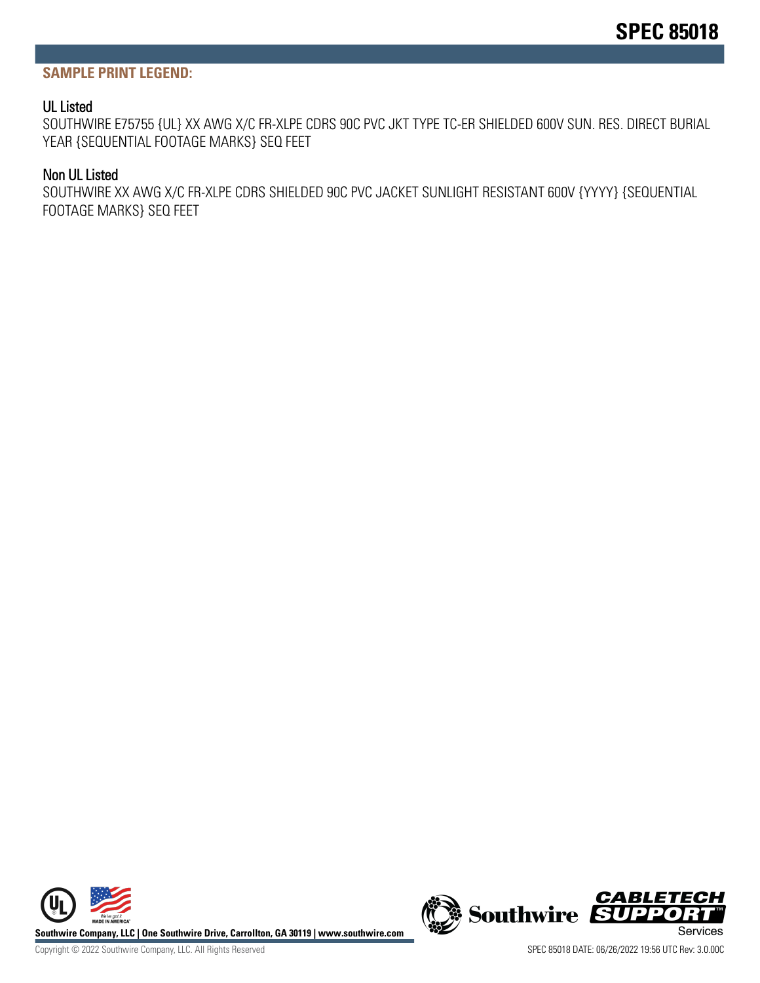#### **SAMPLE PRINT LEGEND:**

#### UL Listed

SOUTHWIRE E75755 {UL} XX AWG X/C FR-XLPE CDRS 90C PVC JKT TYPE TC-ER SHIELDED 600V SUN. RES. DIRECT BURIAL YEAR {SEQUENTIAL FOOTAGE MARKS} SEQ FEET

#### Non UL Listed

SOUTHWIRE XX AWG X/C FR-XLPE CDRS SHIELDED 90C PVC JACKET SUNLIGHT RESISTANT 600V {YYYY} {SEQUENTIAL FOOTAGE MARKS} SEQ FEET





Copyright © 2022 Southwire Company, LLC. All Rights Reserved SPEC 85018 DATE: 06/26/2022 19:56 UTC Rev: 3.0.00C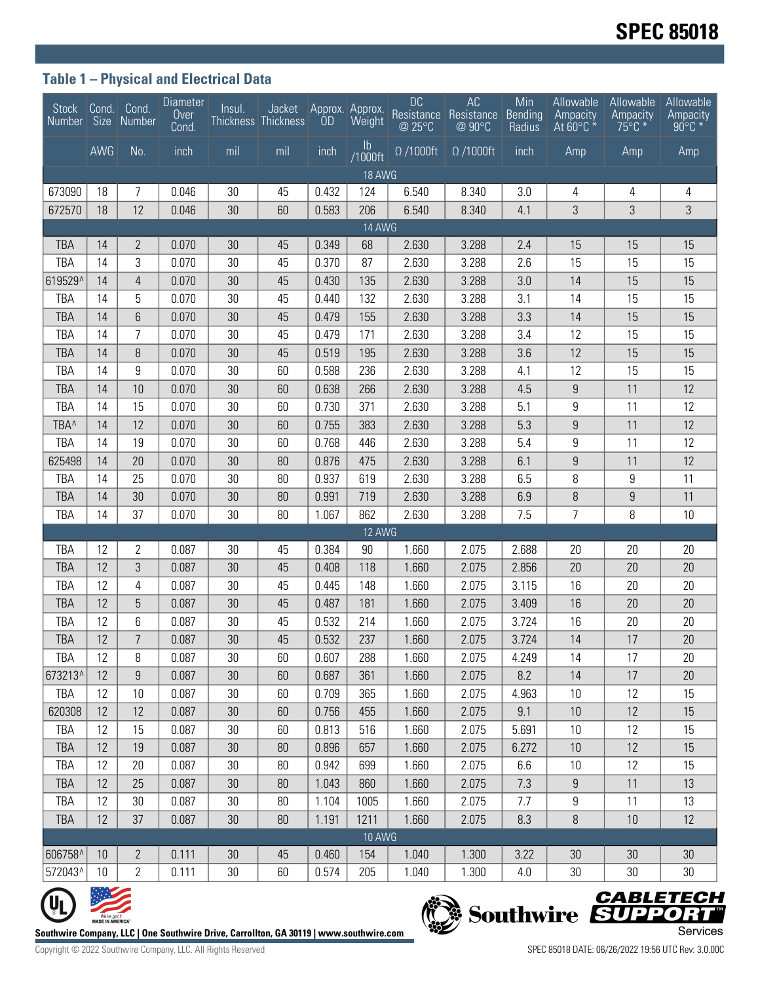## **Table 1 – Physical and Electrical Data**

|                                                                                                    |     | Stock Cond. Cond.<br>Number Size Number | <b>Diameter</b><br>Over<br>Cond. | Insul.<br>Thickness Thickness | Jacket | <b>OD</b> | Approx. Approx.<br>Weight | <b>DC</b><br>Resistance<br>@ 25°C | AC<br>Resistance<br>@ 90°C | Min<br>Bending<br>Radius | Allowable<br>Ampacity<br>At $60^{\circ}$ C $*$ | Allowable<br>Ampacity<br>$75^{\circ}$ C $*$ | Allowable<br>Ampacity<br>$90^{\circ}$ C $*$ |
|----------------------------------------------------------------------------------------------------|-----|-----------------------------------------|----------------------------------|-------------------------------|--------|-----------|---------------------------|-----------------------------------|----------------------------|--------------------------|------------------------------------------------|---------------------------------------------|---------------------------------------------|
|                                                                                                    | AWG | No.                                     | inch                             | mil                           | mil    | inch      | $\mathsf{lb}$<br>/1000ft  | $\overline{\Omega}$ /1000ft       | $\Omega$ /1000ft           | inch                     | Amp                                            | Amp                                         | Amp                                         |
| 18 AWG                                                                                             |     |                                         |                                  |                               |        |           |                           |                                   |                            |                          |                                                |                                             |                                             |
| 673090                                                                                             | 18  | 7                                       | 0.046                            | 30                            | 45     | 0.432     | 124                       | 6.540                             | 8.340                      | 3.0                      | 4                                              | 4                                           | 4                                           |
| 672570                                                                                             | 18  | 12                                      | 0.046                            | 30                            | 60     | 0.583     | 206                       | 6.540                             | 8.340                      | 4.1                      | 3                                              | 3                                           | 3                                           |
| 14 AWG                                                                                             |     |                                         |                                  |                               |        |           |                           |                                   |                            |                          |                                                |                                             |                                             |
| <b>TBA</b>                                                                                         | 14  | $\mathbf{2}$                            | 0.070                            | 30                            | 45     | 0.349     | 68                        | 2.630                             | 3.288                      | 2.4                      | 15                                             | 15                                          | 15                                          |
| TBA                                                                                                | 14  | 3                                       | 0.070                            | 30                            | 45     | 0.370     | 87                        | 2.630                             | 3.288                      | 2.6                      | 15                                             | 15                                          | 15                                          |
| 619529^                                                                                            | 14  | $\overline{4}$                          | 0.070                            | 30                            | 45     | 0.430     | 135                       | 2.630                             | 3.288                      | 3.0                      | 14                                             | 15                                          | 15                                          |
| TBA                                                                                                | 14  | 5                                       | 0.070                            | 30                            | 45     | 0.440     | 132                       | 2.630                             | 3.288                      | 3.1                      | 14                                             | 15                                          | 15                                          |
| <b>TBA</b>                                                                                         | 14  | $6\phantom{1}$                          | 0.070                            | 30                            | 45     | 0.479     | 155                       | 2.630                             | 3.288                      | 3.3                      | 14                                             | 15                                          | 15                                          |
| <b>TBA</b>                                                                                         | 14  | $\overline{7}$                          | 0.070                            | 30                            | 45     | 0.479     | 171                       | 2.630                             | 3.288                      | 3.4                      | 12                                             | 15                                          | 15                                          |
| <b>TBA</b>                                                                                         | 14  | 8                                       | 0.070                            | 30                            | 45     | 0.519     | 195                       | 2.630                             | 3.288                      | 3.6                      | 12                                             | 15                                          | 15                                          |
| TBA                                                                                                | 14  | 9                                       | 0.070                            | 30                            | 60     | 0.588     | 236                       | 2.630                             | 3.288                      | 4.1                      | 12                                             | 15                                          | 15                                          |
| <b>TBA</b>                                                                                         | 14  | 10                                      | 0.070                            | 30                            | 60     | 0.638     | 266                       | 2.630                             | 3.288                      | 4.5                      | 9                                              | 11                                          | 12                                          |
| TBA                                                                                                | 14  | 15                                      | 0.070                            | 30                            | 60     | 0.730     | 371                       | 2.630                             | 3.288                      | 5.1                      | 9                                              | 11                                          | 12                                          |
| TBA <sup>^</sup>                                                                                   | 14  | 12                                      | 0.070                            | 30                            | 60     | 0.755     | 383                       | 2.630                             | 3.288                      | 5.3                      | $9\,$                                          | 11                                          | 12                                          |
| TBA                                                                                                | 14  | 19                                      | 0.070                            | 30                            | 60     | 0.768     | 446                       | 2.630                             | 3.288                      | 5.4                      | 9                                              | 11                                          | 12                                          |
| 625498                                                                                             | 14  | 20                                      | 0.070                            | 30                            | 80     | 0.876     | 475                       | 2.630                             | 3.288                      | 6.1                      | 9                                              | 11                                          | 12                                          |
| TBA                                                                                                | 14  | 25                                      | 0.070                            | 30                            | 80     | 0.937     | 619                       | 2.630                             | 3.288                      | 6.5                      | 8                                              | 9                                           | 11                                          |
| <b>TBA</b>                                                                                         | 14  | 30                                      | 0.070                            | 30                            | 80     | 0.991     | 719                       | 2.630                             | 3.288                      | 6.9                      | 8                                              | 9                                           | 11                                          |
| TBA                                                                                                | 14  | 37                                      | 0.070                            | 30                            | 80     | 1.067     | 862                       | 2.630                             | 3.288                      | 7.5                      | 7                                              | 8                                           | 10                                          |
| 12 AWG                                                                                             |     |                                         |                                  |                               |        |           |                           |                                   |                            |                          |                                                |                                             |                                             |
| TBA                                                                                                | 12  | 2                                       | 0.087                            | 30                            | 45     | 0.384     | 90                        | 1.660                             | 2.075                      | 2.688                    | 20                                             | 20                                          | 20                                          |
| <b>TBA</b>                                                                                         | 12  | $\sqrt{3}$                              | 0.087                            | 30                            | 45     | 0.408     | 118                       | 1.660                             | 2.075                      | 2.856                    | 20                                             | 20                                          | 20                                          |
| TBA                                                                                                | 12  | 4                                       | 0.087                            | 30                            | 45     | 0.445     | 148                       | 1.660                             | 2.075                      | 3.115                    | 16                                             | 20                                          | 20                                          |
| <b>TBA</b>                                                                                         | 12  | 5                                       | 0.087                            | 30                            | 45     | 0.487     | 181                       | 1.660                             | 2.075                      | 3.409                    | 16                                             | 20                                          | 20                                          |
| TBA                                                                                                | 12  | 6                                       | 0.087                            | 30                            | 45     | 0.532     | 214                       | 1.660                             | 2.075                      | 3.724                    | 16                                             | 20                                          | 20                                          |
| <b>TBA</b>                                                                                         | 12  | $\overline{7}$                          | 0.087                            | 30                            | 45     | 0.532     | 237                       | 1.660                             | 2.075                      | 3.724                    | 14                                             | 17                                          | 20                                          |
| TBA                                                                                                | 12  | 8                                       | 0.087                            | 30                            | 60     | 0.607     | 288                       | 1.660                             | 2.075                      | 4.249                    | 14                                             | 17                                          | 20                                          |
| 673213^                                                                                            | 12  | $\boldsymbol{9}$                        | 0.087                            | 30                            | 60     | 0.687     | 361                       | 1.660                             | 2.075                      | 8.2                      | 14                                             | 17                                          | 20                                          |
| TBA                                                                                                | 12  | 10                                      | 0.087                            | 30                            | 60     | 0.709     | 365                       | 1.660                             | 2.075                      | 4.963                    | 10                                             | 12                                          | 15                                          |
| 620308                                                                                             | 12  | 12                                      | 0.087                            | 30                            | 60     | 0.756     | 455                       | 1.660                             | 2.075                      | 9.1                      | 10                                             | 12                                          | 15                                          |
| TBA                                                                                                | 12  | 15                                      | 0.087                            | 30                            | 60     | 0.813     | 516                       | 1.660                             | 2.075                      | 5.691                    | 10                                             | 12                                          | 15                                          |
| TBA                                                                                                | 12  | 19                                      | 0.087                            | 30                            | 80     | 0.896     | 657                       | 1.660                             | 2.075                      | 6.272                    | 10                                             | 12                                          | 15                                          |
| TBA                                                                                                | 12  | 20                                      | 0.087                            | 30                            | 80     | 0.942     | 699                       | 1.660                             | 2.075                      | 6.6                      | 10                                             | 12                                          | 15                                          |
| TBA                                                                                                | 12  | 25                                      | 0.087                            | 30                            | 80     | 1.043     | 860                       | 1.660                             | 2.075                      | 7.3                      | 9                                              | 11                                          | 13                                          |
| TBA                                                                                                | 12  | 30                                      | 0.087                            | 30                            | 80     | 1.104     | 1005                      | 1.660                             | 2.075                      | 7.7                      | 9                                              | 11                                          | 13                                          |
| <b>TBA</b>                                                                                         | 12  | 37                                      | 0.087                            | 30                            | 80     | 1.191     | 1211                      | 1.660                             | 2.075                      | 8.3                      | $\, 8$                                         | 10                                          | 12                                          |
| <b>10 AWG</b>                                                                                      |     |                                         |                                  |                               |        |           |                           |                                   |                            |                          |                                                |                                             |                                             |
| 606758^                                                                                            | 10  | $\mathbf{2}$                            | 0.111                            | 30                            | 45     | 0.460     | 154                       | 1.040                             | 1.300                      | 3.22                     | 30                                             | 30                                          | 30                                          |
| 572043^                                                                                            | 10  | $\overline{2}$                          | 0.111                            | $30\,$                        | 60     | 0.574     | 205                       | 1.040                             | 1.300                      | 4.0                      | 30                                             | 30                                          | 30                                          |
| <b>CABLETECH</b><br>Southwire SUPPORT                                                              |     |                                         |                                  |                               |        |           |                           |                                   |                            |                          |                                                |                                             |                                             |
| We've got it<br>MADE IN AMERICA"                                                                   |     |                                         |                                  |                               |        |           |                           |                                   |                            |                          |                                                |                                             |                                             |
| Services<br>Southwire Company, LLC   One Southwire Drive, Carrollton, GA 30119   www.southwire.com |     |                                         |                                  |                               |        |           |                           |                                   |                            |                          |                                                |                                             |                                             |